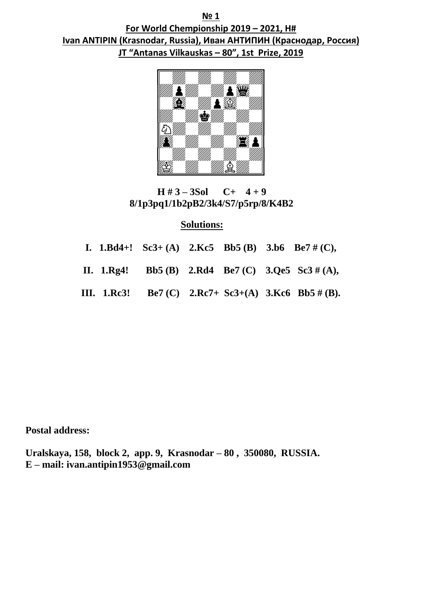**№ 1 For World Chempionship 2019 – 2021, H# Ivan ANTIPIN (Krasnodar, Russia), Иван АНТИПИН (Краснодар, Россия) JT "Antanas Vilkauskas – 80", 1st Prize, 2019** 



 **H # 3 – 3Sol C+ 4 + 9 8/1p3pq1/1b2pB2/3k4/S7/p5rp/8/K4B2**

### **Solutions:**

|  |  |  | I. $1.Bd4+!$ Sc3+ (A) $2.Kc5$ Bb5 (B) $3.b6$ Be7 # (C), |
|--|--|--|---------------------------------------------------------|
|  |  |  | II. 1.Rg4! Bb5 (B) 2.Rd4 Be7 (C) 3.Qe5 Sc3 # (A),       |
|  |  |  | III. 1.Rc3! Be7 (C) 2.Rc7+ Sc3+(A) 3.Kc6 Bb5 # (B).     |

**Postal address:**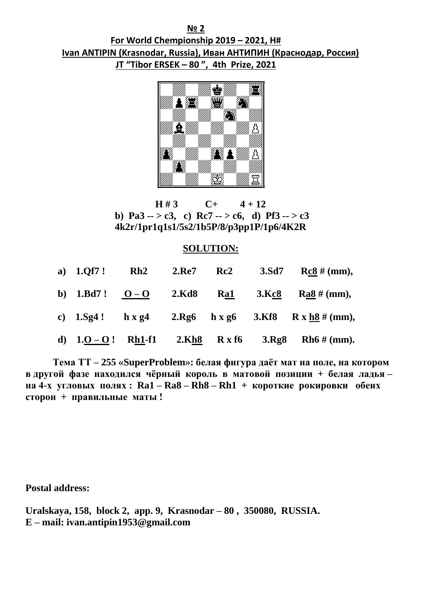**№ 2 For World Chempionship 2019 – 2021, H# Ivan ANTIPIN (Krasnodar, Russia), Иван АНТИПИН (Краснодар, Россия) JT "Tibor ERSEK – 80 ", 4th Prize, 2021**



**H**  $\sharp$  3 C+ 4 + 12 **b**) Pa3 -- > c3, c) Rc7 -- > c6, d) Pf3 -- > c3  **4k2r/1pr1q1s1/5s2/1b5P/8/p3pp1P/1p6/4K2R** 

#### **SOLUTION:**

|  | a) 1.Qf7! Rh2 2.Re7 Rc2 |  |  | 3.Sd7 Rc8 # (mm),                                       |
|--|-------------------------|--|--|---------------------------------------------------------|
|  |                         |  |  | b) $1.Bd7!$ $0-O$ $2.Kd8$ $Ra1$ $3.Kc8$ $Ra8 \# (mm)$ , |
|  |                         |  |  | c) $1.5g4!$ h x g4 $2.8g6$ h x g6 $3.68$ R x h8 # (mm), |
|  |                         |  |  | d) $1.0 - 0!$ Rh1-f1 2.Kh8 R x f6 3.Rg8 Rh6 # (mm).     |

 **Тема ТТ – 255 «SuperProblem»: белая фигура даёт мат на поле, на котором в другой фазе находился чёрный король в матовой позиции + белая ладья – на 4-х угловых полях : Ra1 – Ra8 – Rh8 – Rh1 + короткие рокировки обеих сторон + правильные маты !** 

**Postal address:**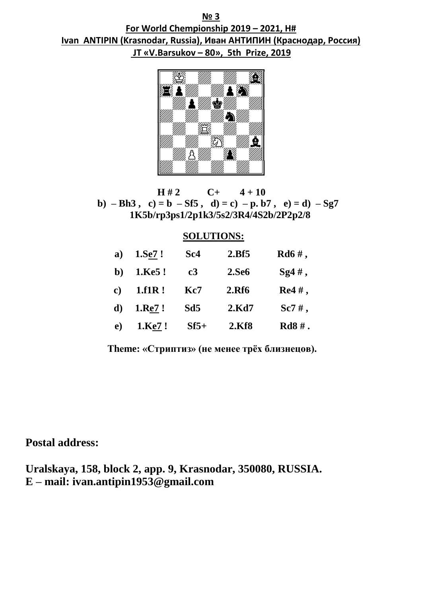**№ 3 For World Chempionship 2019 – 2021, H# Ivan ANTIPIN (Krasnodar, Russia), Иван АНТИПИН (Краснодар, Россия) JT «V.Barsukov – 80», 5th Prize, 2019** 



 **H # 2 C+ 4 + 10 b**)  $-$ **Bh3**, **c**) = **b**  $-$ **Sf5**, **d**) = **c**)  $-$ **p. b7**, **e**) = **d**)  $-$ **Sg7 1K5b/rp3ps1/2p1k3/5s2/3R4/4S2b/2P2p2/8** 

#### **SOLUTIONS:**

| a)            | $1.Se7$ ! | Sc4    | 2.Bf5        | $Rd6#$ ,                  |
|---------------|-----------|--------|--------------|---------------------------|
| b)            | 1.Ke5!    | c3     | <b>2.Se6</b> | $\text{Sg4}\,\text{\#}$ , |
| $\mathbf{c})$ | 1.f1R!    | Kc7    | <b>2.Rf6</b> | $Re4#$ ,                  |
| $\mathbf{d}$  | 1.Re7!    | Sd5    | 2.Kd7        | $Sc7#$ ,                  |
| $\bf e)$      | 1.Ke7!    | $Sf5+$ | 2.Kf8        | $Rd8#$ .                  |

**Тhеme: «Стриптиз» (не менее трёх близнецов).**

**Postal address:**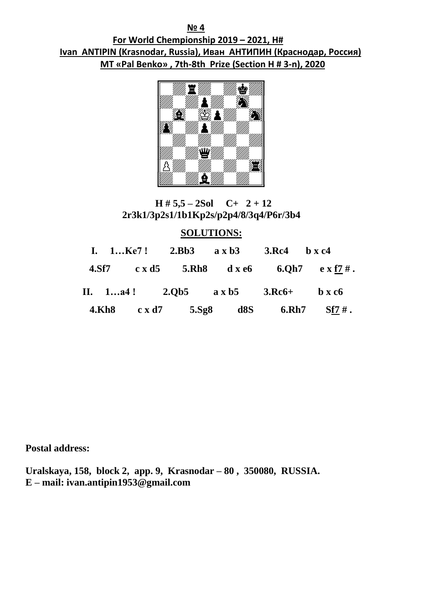**№ 4 For World Chempionship 2019 – 2021, H# Ivan ANTIPIN (Krasnodar, Russia), Иван АНТИПИН (Краснодар, Россия) MT «Pal Benko» , 7th-8th Prize (Section H # 3-n), 2020**



# $H \# 5,5 - 2Sol$  C+ 2 + 12  **2r3k1/3p2s1/1b1Kp2s/p2p4/8/3q4/P6r/3b4**

# **SOLUTIONS:**

|  |  |  | I. $1Ke7!$ 2.Bb3 $a \times b3$ 3.Rc4 $b \times c4$ |                                                                  |
|--|--|--|----------------------------------------------------|------------------------------------------------------------------|
|  |  |  |                                                    | 4.Sf7 $c \times d5$ 5.Rh8 $d \times e6$ 6.Qh7 $e \times f7 \#$ . |
|  |  |  |                                                    | II. $1a4!$ 2.0b5 $a \times b5$ 3.Rc6+ $b \times c6$              |
|  |  |  |                                                    | 4.Kh8 $c \times d7$ 5.Sg8 d8S 6.Rh7 Sf7 #.                       |

**Postal address:**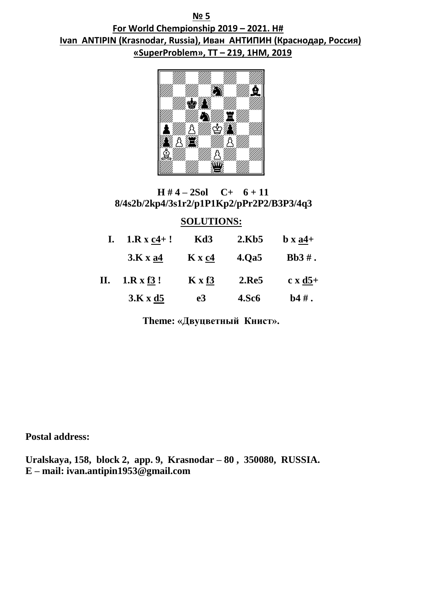**№ 5 For World Chempionship 2019 – 2021. H# Ivan ANTIPIN (Krasnodar, Russia), Иван АНТИПИН (Краснодар, Россия) «SuperProblem», TT – 219, 1HM, 2019** 



# $H \# 4 - 2Sol$  C+  $6 + 11$  **8/4s2b/2kp4/3s1r2/p1P1Kp2/pPr2P2/B3P3/4q3**

### **SOLUTIONS:**

| I. $1.R x c4+!$ Kd3 $2.Kb5$                  |    |              | $\mathbf b \mathbf x$ a4+ |
|----------------------------------------------|----|--------------|---------------------------|
| $3. K x a4$ $K x c4$ $4. Q a5$               |    |              | $Bb3#$ .                  |
| II. $1. R \times 13!$ $K \times 13$ $2. Re5$ |    |              | $c \times d5+$            |
| 3.Kxd5                                       | e3 | <b>4.Sc6</b> | $\mathbf{b}4\,\#$ .       |

**Тhеme: «Двуцветный Книст».**

**Postal address:**